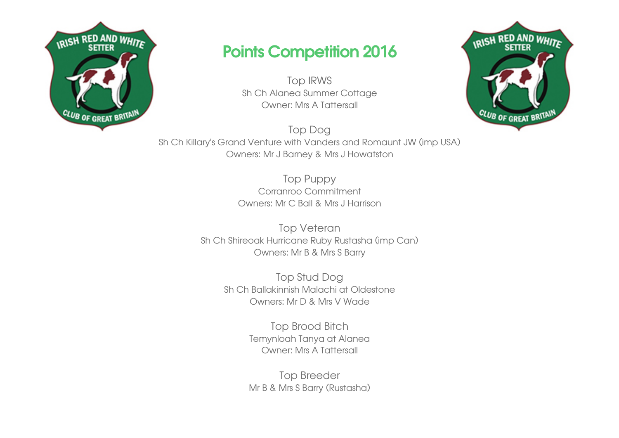

## Points Competition 2016

Top IRWS Sh Ch Alanea Summer Cottage Owner: Mrs A Tattersall

Top Dog Sh Ch Killary's Grand Venture with Vanders and Romaunt JW (imp USA) Owners: Mr J Barney & Mrs J Howatston

> Top Puppy Corranroo Commitment Owners: Mr C Ball & Mrs J Harrison

Top Veteran Sh Ch Shireoak Hurricane Ruby Rustasha (imp Can) Owners: Mr B & Mrs S Barry

> Top Stud Dog Sh Ch Ballakinnish Malachi at Oldestone Owners: Mr D & Mrs V Wade

> > Top Brood Bitch Temynloah Tanya at Alanea Owner: Mrs A Tattersall

> > Top Breeder Mr B & Mrs S Barry (Rustasha)

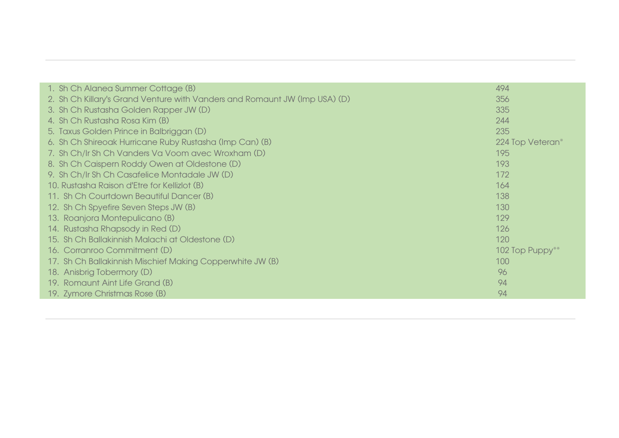| 1. Sh Ch Alanea Summer Cottage (B)                                         | 494              |
|----------------------------------------------------------------------------|------------------|
| 2. Sh Ch Killary's Grand Venture with Vanders and Romaunt JW (Imp USA) (D) | 356              |
| 3. Sh Ch Rustasha Golden Rapper JW (D)                                     | 335              |
| 4. Sh Ch Rustasha Rosa Kim (B)                                             | 244              |
| 5. Taxus Golden Prince in Balbriggan (D)                                   | 235              |
| 6. Sh Ch Shireoak Hurricane Ruby Rustasha (Imp Can) (B)                    | 224 Top Veteran* |
| 7. Sh Ch/Ir Sh Ch Vanders Va Voom avec Wroxham (D)                         | 195              |
| 8. Sh Ch Caispern Roddy Owen at Oldestone (D)                              | 193              |
| 9. Sh Ch/Ir Sh Ch Casafelice Montadale JW (D)                              | 172              |
| 10. Rustasha Raison d'Etre for Kellizlot (B)                               | 164              |
| 11. Sh Ch Courtdown Beautiful Dancer (B)                                   | 138              |
| 12. Sh Ch Spyefire Seven Steps JW (B)                                      | 130              |
| 13. Roanjora Montepulicano (B)                                             | 129              |
| 14. Rustasha Rhapsody in Red (D)                                           | 126              |
| 15. Sh Ch Ballakinnish Malachi at Oldestone (D)                            | 120              |
| 16. Corranroo Commitment (D)                                               | 102 Top Puppy**  |
| 17. Sh Ch Ballakinnish Mischief Making Copperwhite JW (B)                  | 100              |
| 18. Anisbrig Tobermory (D)                                                 | 96               |
| 19. Romaunt Aint Life Grand (B)                                            | 94               |
| 19. Zymore Christmas Rose (B)                                              | 94               |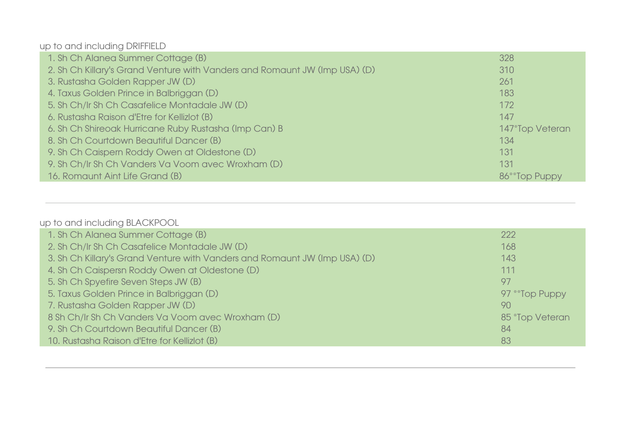up to and including DRIFFIELD

| 1. Sh Ch Alanea Summer Cottage (B)                                         | 328             |
|----------------------------------------------------------------------------|-----------------|
| 2. Sh Ch Killary's Grand Venture with Vanders and Romaunt JW (Imp USA) (D) | 310             |
| 3. Rustasha Golden Rapper JW (D)                                           | 261             |
| 4. Taxus Golden Prince in Balbriggan (D)                                   | 183             |
| 5. Sh Ch/Ir Sh Ch Casafelice Montadale JW (D)                              | 172             |
| 6. Rustasha Raison d'Etre for Kellizlot (B)                                | 147             |
| 6. Sh Ch Shireoak Hurricane Ruby Rustasha (Imp Can) B                      | 147*Top Veteran |
| 8. Sh Ch Courtdown Beautiful Dancer (B)                                    | 134             |
| 9. Sh Ch Caispern Roddy Owen at Oldestone (D)                              | 131             |
| 9. Sh Ch/Ir Sh Ch Vanders Va Voom avec Wroxham (D)                         | 131             |
| 16. Romaunt Aint Life Grand (B)                                            | 86**Top Puppy   |

## up to and including BLACKPOOL

| 1. Sh Ch Alanea Summer Cottage (B)                                         | 222             |
|----------------------------------------------------------------------------|-----------------|
| 2. Sh Ch/Ir Sh Ch Casafelice Montadale JW (D)                              | 168             |
| 3. Sh Ch Killary's Grand Venture with Vanders and Romaunt JW (Imp USA) (D) | 143             |
| 4. Sh Ch Caispersn Roddy Owen at Oldestone (D)                             | 111             |
| 5. Sh Ch Spyefire Seven Steps JW (B)                                       | 97              |
| 5. Taxus Golden Prince in Balbriggan (D)                                   | 97 ** Top Puppy |
| 7. Rustasha Golden Rapper JW (D)                                           | 90              |
| 8 Sh Ch/Ir Sh Ch Vanders Va Voom avec Wroxham (D)                          | 85 *Top Veteran |
| 9. Sh Ch Courtdown Beautiful Dancer (B)                                    | 84              |
| 10. Rustasha Raison d'Etre for Kellizlot (B)                               | 83              |
|                                                                            |                 |